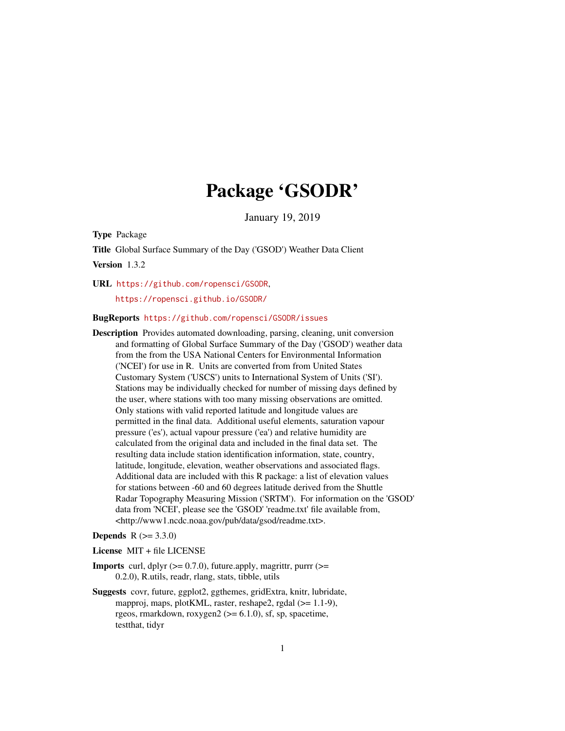# Package 'GSODR'

January 19, 2019

<span id="page-0-0"></span>Type Package

Title Global Surface Summary of the Day ('GSOD') Weather Data Client

Version 1.3.2

URL <https://github.com/ropensci/GSODR>,

<https://ropensci.github.io/GSODR/>

#### BugReports <https://github.com/ropensci/GSODR/issues>

Description Provides automated downloading, parsing, cleaning, unit conversion and formatting of Global Surface Summary of the Day ('GSOD') weather data from the from the USA National Centers for Environmental Information ('NCEI') for use in R. Units are converted from from United States Customary System ('USCS') units to International System of Units ('SI'). Stations may be individually checked for number of missing days defined by the user, where stations with too many missing observations are omitted. Only stations with valid reported latitude and longitude values are permitted in the final data. Additional useful elements, saturation vapour pressure ('es'), actual vapour pressure ('ea') and relative humidity are calculated from the original data and included in the final data set. The resulting data include station identification information, state, country, latitude, longitude, elevation, weather observations and associated flags. Additional data are included with this R package: a list of elevation values for stations between -60 and 60 degrees latitude derived from the Shuttle Radar Topography Measuring Mission ('SRTM'). For information on the 'GSOD' data from 'NCEI', please see the 'GSOD' 'readme.txt' file available from, <http://www1.ncdc.noaa.gov/pub/data/gsod/readme.txt>.

#### **Depends** R  $(>= 3.3.0)$

License MIT + file LICENSE

- **Imports** curl, dplyr  $(>= 0.7.0)$ , future.apply, magrittr, purrr  $(>= 0.7.0)$ 0.2.0), R.utils, readr, rlang, stats, tibble, utils
- Suggests covr, future, ggplot2, ggthemes, gridExtra, knitr, lubridate, mapproj, maps, plotKML, raster, reshape2, rgdal (>= 1.1-9), rgeos, rmarkdown, roxygen $2 \left( \right) = 6.1.0$ ), sf, sp, spacetime, testthat, tidyr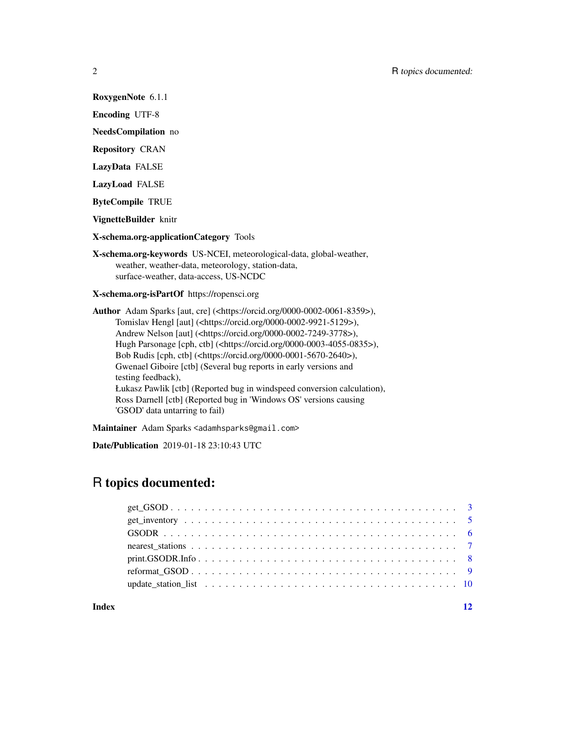RoxygenNote 6.1.1

Encoding UTF-8

NeedsCompilation no

Repository CRAN

LazyData FALSE

LazyLoad FALSE

ByteCompile TRUE

VignetteBuilder knitr

X-schema.org-applicationCategory Tools

X-schema.org-keywords US-NCEI, meteorological-data, global-weather, weather, weather-data, meteorology, station-data, surface-weather, data-access, US-NCDC

X-schema.org-isPartOf https://ropensci.org

Author Adam Sparks [aut, cre] (<https://orcid.org/0000-0002-0061-8359>), Tomislav Hengl [aut] (<https://orcid.org/0000-0002-9921-5129>), Andrew Nelson [aut] (<https://orcid.org/0000-0002-7249-3778>), Hugh Parsonage [cph, ctb] (<https://orcid.org/0000-0003-4055-0835>), Bob Rudis [cph, ctb] (<https://orcid.org/0000-0001-5670-2640>), Gwenael Giboire [ctb] (Several bug reports in early versions and testing feedback), Łukasz Pawlik [ctb] (Reported bug in windspeed conversion calculation), Ross Darnell [ctb] (Reported bug in 'Windows OS' versions causing 'GSOD' data untarring to fail)

Maintainer Adam Sparks <adamhsparks@gmail.com>

Date/Publication 2019-01-18 23:10:43 UTC

# R topics documented:

#### **Index** [12](#page-11-0)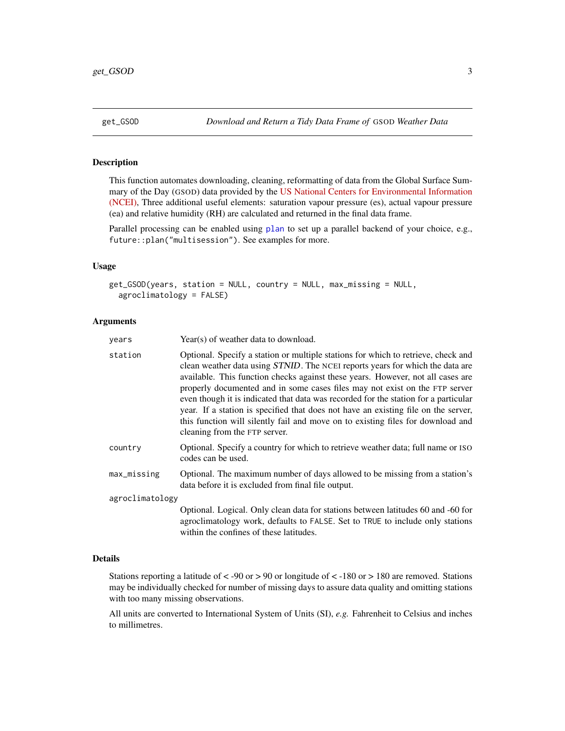<span id="page-2-1"></span><span id="page-2-0"></span>

### Description

This function automates downloading, cleaning, reformatting of data from the Global Surface Summary of the Day (GSOD) data provided by the [US National Centers for Environmental Information](https://data.noaa.gov/dataset/dataset/global-surface-summary-of-the-day-gsod/) [\(NCEI\),](https://data.noaa.gov/dataset/dataset/global-surface-summary-of-the-day-gsod/) Three additional useful elements: saturation vapour pressure (es), actual vapour pressure (ea) and relative humidity (RH) are calculated and returned in the final data frame.

Parallel processing can be enabled using [plan](#page-0-0) to set up a parallel backend of your choice, e.g., future::plan("multisession"). See examples for more.

#### Usage

```
get_GSOD(years, station = NULL, country = NULL, max_missing = NULL,
  agroclimatology = FALSE)
```
#### Arguments

| years           | Year(s) of weather data to download.                                                                                                                                                                                                                                                                                                                                                                                                                                                                                                                                                                                                  |
|-----------------|---------------------------------------------------------------------------------------------------------------------------------------------------------------------------------------------------------------------------------------------------------------------------------------------------------------------------------------------------------------------------------------------------------------------------------------------------------------------------------------------------------------------------------------------------------------------------------------------------------------------------------------|
| station         | Optional. Specify a station or multiple stations for which to retrieve, check and<br>clean weather data using STNID. The NCEI reports years for which the data are<br>available. This function checks against these years. However, not all cases are<br>properly documented and in some cases files may not exist on the FTP server<br>even though it is indicated that data was recorded for the station for a particular<br>year. If a station is specified that does not have an existing file on the server,<br>this function will silently fail and move on to existing files for download and<br>cleaning from the FTP server. |
| country         | Optional. Specify a country for which to retrieve weather data; full name or ISO<br>codes can be used.                                                                                                                                                                                                                                                                                                                                                                                                                                                                                                                                |
| max_missing     | Optional. The maximum number of days allowed to be missing from a station's<br>data before it is excluded from final file output.                                                                                                                                                                                                                                                                                                                                                                                                                                                                                                     |
| agroclimatology |                                                                                                                                                                                                                                                                                                                                                                                                                                                                                                                                                                                                                                       |
|                 | Optional. Logical. Only clean data for stations between latitudes 60 and -60 for<br>agroclimatology work, defaults to FALSE. Set to TRUE to include only stations<br>within the confines of these latitudes.                                                                                                                                                                                                                                                                                                                                                                                                                          |

#### Details

Stations reporting a latitude of  $\langle$  -90 or  $\rangle$  90 or longitude of  $\langle$  -180 or  $\rangle$  180 are removed. Stations may be individually checked for number of missing days to assure data quality and omitting stations with too many missing observations.

All units are converted to International System of Units (SI), *e.g.* Fahrenheit to Celsius and inches to millimetres.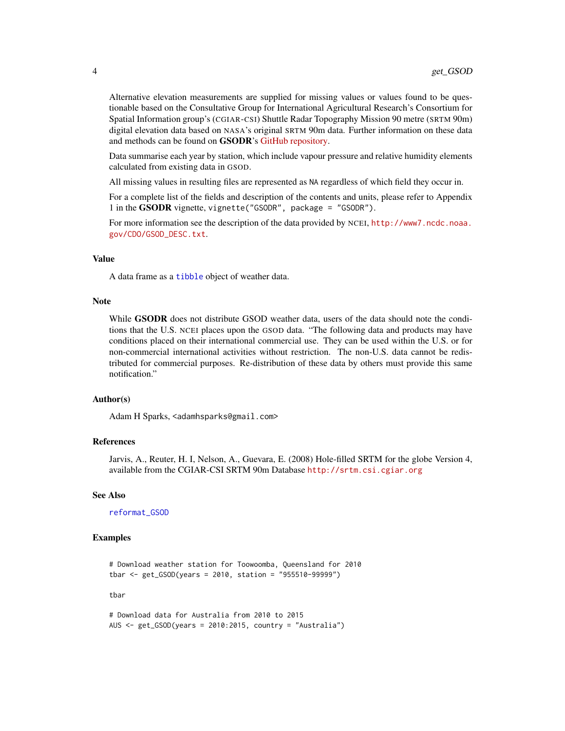<span id="page-3-0"></span>Alternative elevation measurements are supplied for missing values or values found to be questionable based on the Consultative Group for International Agricultural Research's Consortium for Spatial Information group's (CGIAR-CSI) Shuttle Radar Topography Mission 90 metre (SRTM 90m) digital elevation data based on NASA's original SRTM 90m data. Further information on these data and methods can be found on GSODR's [GitHub repository.](https://github.com/ropensci/GSODR/blob/master/data-raw/fetch_isd-history.md)

Data summarise each year by station, which include vapour pressure and relative humidity elements calculated from existing data in GSOD.

All missing values in resulting files are represented as NA regardless of which field they occur in.

For a complete list of the fields and description of the contents and units, please refer to Appendix 1 in the GSODR vignette, vignette("GSODR", package = "GSODR").

For more information see the description of the data provided by NCEI, [http://www7.ncdc.noaa.](http://www7.ncdc.noaa.gov/CDO/GSOD_DESC.txt) [gov/CDO/GSOD\\_DESC.txt](http://www7.ncdc.noaa.gov/CDO/GSOD_DESC.txt).

#### Value

A data frame as a [tibble](#page-0-0) object of weather data.

#### Note

While **GSODR** does not distribute GSOD weather data, users of the data should note the conditions that the U.S. NCEI places upon the GSOD data. "The following data and products may have conditions placed on their international commercial use. They can be used within the U.S. or for non-commercial international activities without restriction. The non-U.S. data cannot be redistributed for commercial purposes. Re-distribution of these data by others must provide this same notification."

#### Author(s)

Adam H Sparks, <adamhsparks@gmail.com>

#### References

Jarvis, A., Reuter, H. I, Nelson, A., Guevara, E. (2008) Hole-filled SRTM for the globe Version 4, available from the CGIAR-CSI SRTM 90m Database <http://srtm.csi.cgiar.org>

#### See Also

[reformat\\_GSOD](#page-8-1)

#### Examples

```
# Download weather station for Toowoomba, Queensland for 2010
tbar <- get_GSOD(years = 2010, station = "955510-99999")
```
tbar

```
# Download data for Australia from 2010 to 2015
AUS <- get_GSOD(years = 2010:2015, country = "Australia")
```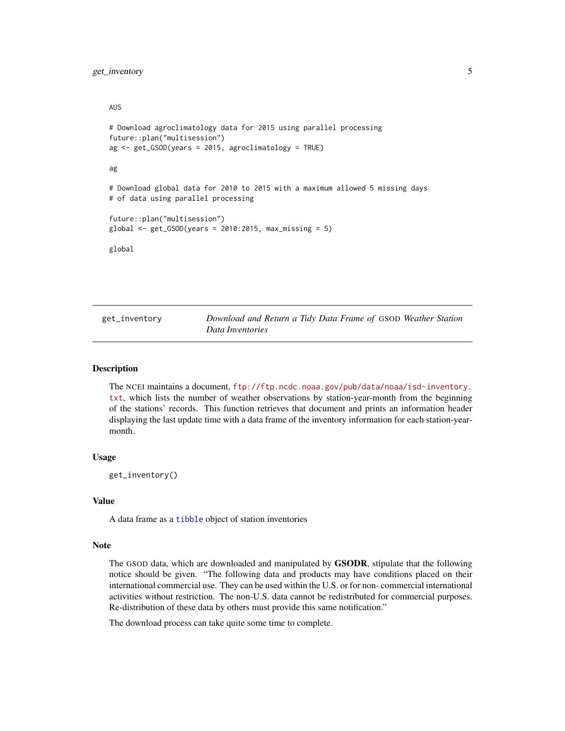<span id="page-4-0"></span>get\_inventory 5

#### AUS

```
# Download agroclimatology data for 2015 using parallel processing
future::plan("multisession")
ag <- get_GSOD(years = 2015, agroclimatology = TRUE)
ag
# Download global data for 2010 to 2015 with a maximum allowed 5 missing days
# of data using parallel processing
future::plan("multisession")
global \leq get_GSOD(years = 2010:2015, max_missing = 5)global
```
<span id="page-4-1"></span>get\_inventory *Download and Return a Tidy Data Frame of* GSOD *Weather Station Data Inventories*

#### Description

The NCEI maintains a document, [ftp://ftp.ncdc.noaa.gov/pub/data/noaa/isd-inventory.](ftp://ftp.ncdc.noaa.gov/pub/data/noaa/isd-inventory.txt) [txt](ftp://ftp.ncdc.noaa.gov/pub/data/noaa/isd-inventory.txt), which lists the number of weather observations by station-year-month from the beginning of the stations' records. This function retrieves that document and prints an information header displaying the last update time with a data frame of the inventory information for each station-yearmonth.

#### Usage

get\_inventory()

#### Value

A data frame as a [tibble](#page-0-0) object of station inventories

#### Note

The GSOD data, which are downloaded and manipulated by GSODR, stipulate that the following notice should be given. "The following data and products may have conditions placed on their international commercial use. They can be used within the U.S. or for non- commercial international activities without restriction. The non-U.S. data cannot be redistributed for commercial purposes. Re-distribution of these data by others must provide this same notification."

The download process can take quite some time to complete.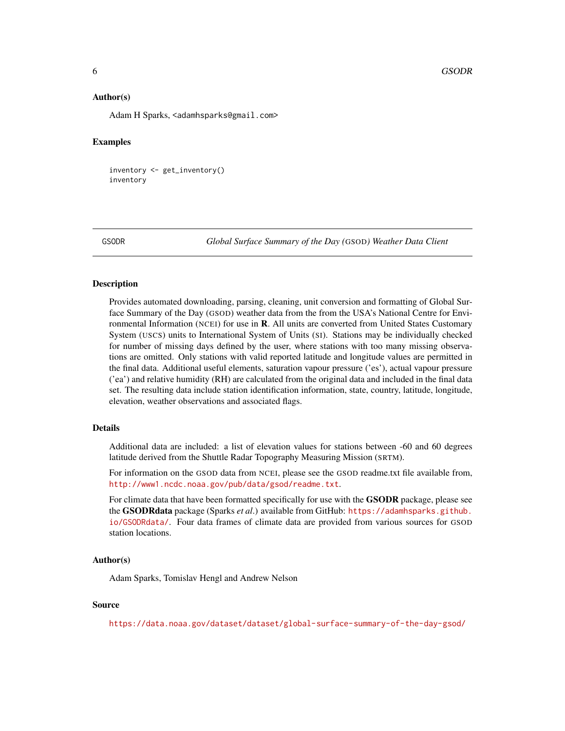#### <span id="page-5-0"></span>Author(s)

Adam H Sparks, <adamhsparks@gmail.com>

#### Examples

```
inventory <- get_inventory()
inventory
```
GSODR *Global Surface Summary of the Day (*GSOD*) Weather Data Client*

#### Description

Provides automated downloading, parsing, cleaning, unit conversion and formatting of Global Surface Summary of the Day (GSOD) weather data from the from the USA's National Centre for Environmental Information (NCEI) for use in **. All units are converted from United States Customary** System (USCS) units to International System of Units (SI). Stations may be individually checked for number of missing days defined by the user, where stations with too many missing observations are omitted. Only stations with valid reported latitude and longitude values are permitted in the final data. Additional useful elements, saturation vapour pressure ('es'), actual vapour pressure ('ea') and relative humidity (RH) are calculated from the original data and included in the final data set. The resulting data include station identification information, state, country, latitude, longitude, elevation, weather observations and associated flags.

#### Details

Additional data are included: a list of elevation values for stations between -60 and 60 degrees latitude derived from the Shuttle Radar Topography Measuring Mission (SRTM).

For information on the GSOD data from NCEI, please see the GSOD readme.txt file available from, <http://www1.ncdc.noaa.gov/pub/data/gsod/readme.txt>.

For climate data that have been formatted specifically for use with the **GSODR** package, please see the GSODRdata package (Sparks *et al*.) available from GitHub: [https://adamhsparks.github.](https://adamhsparks.github.io/GSODRdata/) [io/GSODRdata/](https://adamhsparks.github.io/GSODRdata/). Four data frames of climate data are provided from various sources for GSOD station locations.

#### Author(s)

Adam Sparks, Tomislav Hengl and Andrew Nelson

#### Source

<https://data.noaa.gov/dataset/dataset/global-surface-summary-of-the-day-gsod/>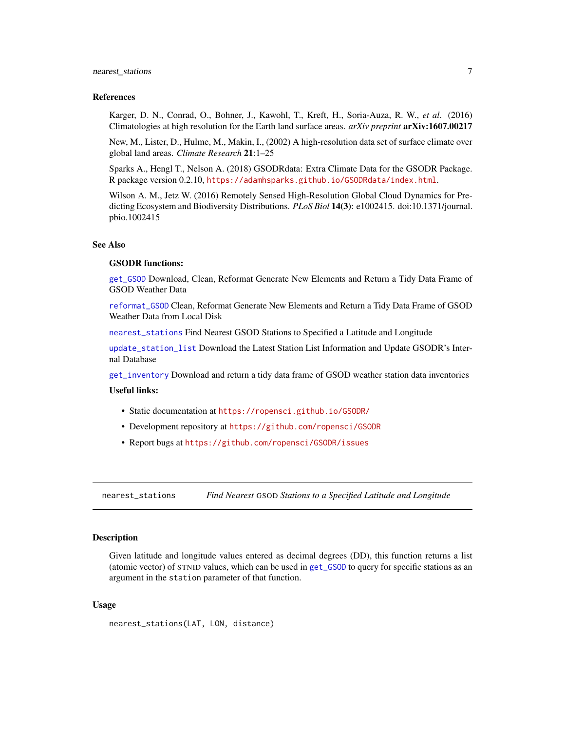#### <span id="page-6-0"></span>nearest\_stations 7

#### References

Karger, D. N., Conrad, O., Bohner, J., Kawohl, T., Kreft, H., Soria-Auza, R. W., *et al*. (2016) Climatologies at high resolution for the Earth land surface areas. *arXiv preprint* arXiv:1607.00217

New, M., Lister, D., Hulme, M., Makin, I., (2002) A high-resolution data set of surface climate over global land areas. *Climate Research* 21:1–25

Sparks A., Hengl T., Nelson A. (2018) GSODRdata: Extra Climate Data for the GSODR Package. R package version 0.2.10, <https://adamhsparks.github.io/GSODRdata/index.html>.

Wilson A. M., Jetz W. (2016) Remotely Sensed High-Resolution Global Cloud Dynamics for Predicting Ecosystem and Biodiversity Distributions. *PLoS Biol* 14(3): e1002415. doi:10.1371/journal. pbio.1002415

#### See Also

#### GSODR functions:

[get\\_GSOD](#page-2-1) Download, Clean, Reformat Generate New Elements and Return a Tidy Data Frame of GSOD Weather Data

[reformat\\_GSOD](#page-8-1) Clean, Reformat Generate New Elements and Return a Tidy Data Frame of GSOD Weather Data from Local Disk

[nearest\\_stations](#page-6-1) Find Nearest GSOD Stations to Specified a Latitude and Longitude

[update\\_station\\_list](#page-9-1) Download the Latest Station List Information and Update GSODR's Internal Database

[get\\_inventory](#page-4-1) Download and return a tidy data frame of GSOD weather station data inventories

#### Useful links:

- Static documentation at <https://ropensci.github.io/GSODR/>
- Development repository at <https://github.com/ropensci/GSODR>
- Report bugs at <https://github.com/ropensci/GSODR/issues>

<span id="page-6-1"></span>nearest\_stations *Find Nearest* GSOD *Stations to a Specified Latitude and Longitude*

#### Description

Given latitude and longitude values entered as decimal degrees (DD), this function returns a list (atomic vector) of STNID values, which can be used in [get\\_GSOD](#page-2-1) to query for specific stations as an argument in the station parameter of that function.

#### Usage

```
nearest_stations(LAT, LON, distance)
```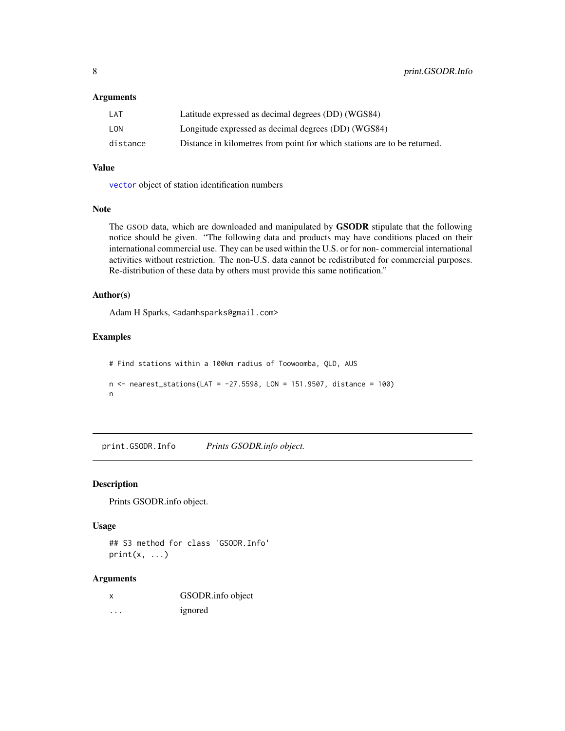#### <span id="page-7-0"></span>**Arguments**

| LAT      | Latitude expressed as decimal degrees (DD) (WGS84)                       |
|----------|--------------------------------------------------------------------------|
| LON      | Longitude expressed as decimal degrees (DD) (WGS84)                      |
| distance | Distance in kilometres from point for which stations are to be returned. |

#### Value

[vector](#page-0-0) object of station identification numbers

#### Note

The GSOD data, which are downloaded and manipulated by GSODR stipulate that the following notice should be given. "The following data and products may have conditions placed on their international commercial use. They can be used within the U.S. or for non- commercial international activities without restriction. The non-U.S. data cannot be redistributed for commercial purposes. Re-distribution of these data by others must provide this same notification."

#### Author(s)

Adam H Sparks, <adamhsparks@gmail.com>

#### Examples

```
# Find stations within a 100km radius of Toowoomba, QLD, AUS
n < - nearest_stations(LAT = -27.5598, LON = 151.9507, distance = 100)
n
```
print.GSODR.Info *Prints GSODR.info object.*

#### Description

Prints GSODR.info object.

#### Usage

## S3 method for class 'GSODR.Info'  $print(x, \ldots)$ 

#### Arguments

| x        | GSODR.info object |
|----------|-------------------|
| $\cdots$ | ignored           |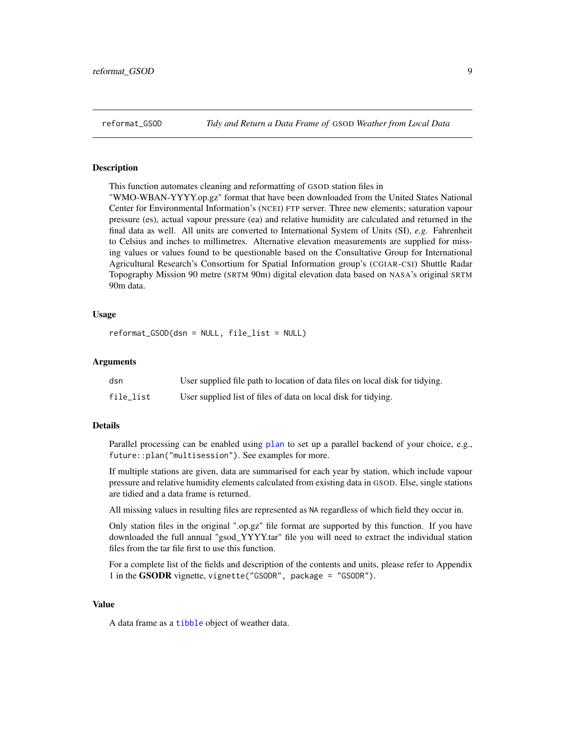<span id="page-8-1"></span><span id="page-8-0"></span>

#### Description

This function automates cleaning and reformatting of GSOD station files in

"WMO-WBAN-YYYY.op.gz" format that have been downloaded from the United States National Center for Environmental Information's (NCEI) FTP server. Three new elements; saturation vapour pressure (es), actual vapour pressure (ea) and relative humidity are calculated and returned in the final data as well. All units are converted to International System of Units (SI), *e.g.* Fahrenheit to Celsius and inches to millimetres. Alternative elevation measurements are supplied for missing values or values found to be questionable based on the Consultative Group for International Agricultural Research's Consortium for Spatial Information group's (CGIAR-CSI) Shuttle Radar Topography Mission 90 metre (SRTM 90m) digital elevation data based on NASA's original SRTM 90m data.

#### Usage

reformat\_GSOD(dsn = NULL, file\_list = NULL)

#### Arguments

| dsn       | User supplied file path to location of data files on local disk for tidying. |
|-----------|------------------------------------------------------------------------------|
| file_list | User supplied list of files of data on local disk for tidying.               |

#### Details

Parallel processing can be enabled using [plan](#page-0-0) to set up a parallel backend of your choice, e.g., future::plan("multisession"). See examples for more.

If multiple stations are given, data are summarised for each year by station, which include vapour pressure and relative humidity elements calculated from existing data in GSOD. Else, single stations are tidied and a data frame is returned.

All missing values in resulting files are represented as NA regardless of which field they occur in.

Only station files in the original ".op.gz" file format are supported by this function. If you have downloaded the full annual "gsod\_YYYY.tar" file you will need to extract the individual station files from the tar file first to use this function.

For a complete list of the fields and description of the contents and units, please refer to Appendix 1 in the GSODR vignette, vignette("GSODR", package = "GSODR").

#### Value

A data frame as a [tibble](#page-0-0) object of weather data.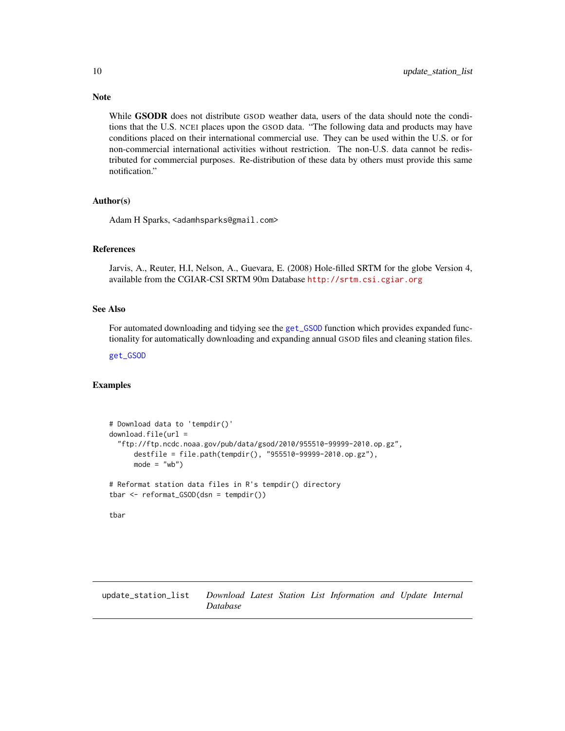While GSODR does not distribute GSOD weather data, users of the data should note the conditions that the U.S. NCEI places upon the GSOD data. "The following data and products may have conditions placed on their international commercial use. They can be used within the U.S. or for non-commercial international activities without restriction. The non-U.S. data cannot be redistributed for commercial purposes. Re-distribution of these data by others must provide this same notification."

#### Author(s)

Adam H Sparks, <adamhsparks@gmail.com>

#### References

Jarvis, A., Reuter, H.I, Nelson, A., Guevara, E. (2008) Hole-filled SRTM for the globe Version 4, available from the CGIAR-CSI SRTM 90m Database <http://srtm.csi.cgiar.org>

#### See Also

For automated downloading and tidying see the [get\\_GSOD](#page-2-1) function which provides expanded functionality for automatically downloading and expanding annual GSOD files and cleaning station files.

[get\\_GSOD](#page-2-1)

#### Examples

```
# Download data to 'tempdir()'
download.file(url ="ftp://ftp.ncdc.noaa.gov/pub/data/gsod/2010/955510-99999-2010.op.gz",
     destfile = file.path(tempdir(), "955510-99999-2010.op.gz"),
     mode = "wb")# Reformat station data files in R's tempdir() directory
tbar <- reformat_GSOD(dsn = tempdir())
tbar
```
<span id="page-9-1"></span>update\_station\_list *Download Latest Station List Information and Update Internal Database*

<span id="page-9-0"></span>

## Note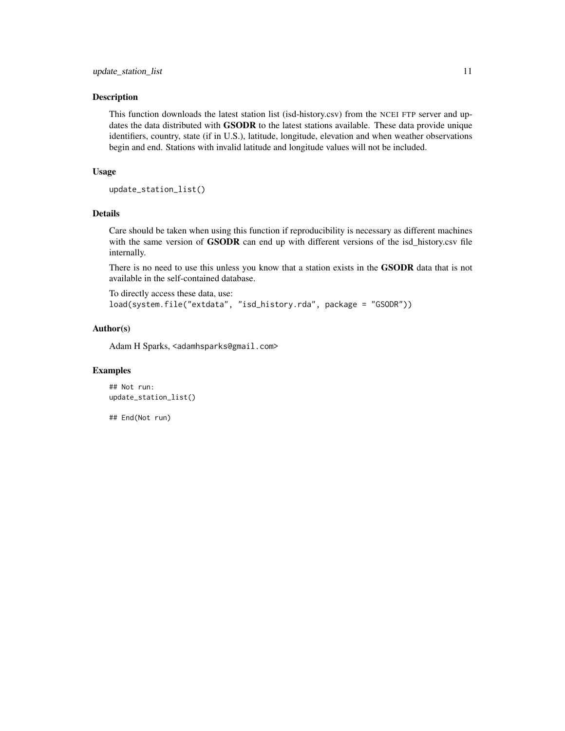#### Description

This function downloads the latest station list (isd-history.csv) from the NCEI FTP server and updates the data distributed with GSODR to the latest stations available. These data provide unique identifiers, country, state (if in U.S.), latitude, longitude, elevation and when weather observations begin and end. Stations with invalid latitude and longitude values will not be included.

#### Usage

```
update_station_list()
```
#### Details

Care should be taken when using this function if reproducibility is necessary as different machines with the same version of **GSODR** can end up with different versions of the isd\_history.csv file internally.

There is no need to use this unless you know that a station exists in the **GSODR** data that is not available in the self-contained database.

To directly access these data, use: load(system.file("extdata", "isd\_history.rda", package = "GSODR"))

#### Author(s)

Adam H Sparks, <adamhsparks@gmail.com>

#### Examples

## Not run: update\_station\_list()

## End(Not run)